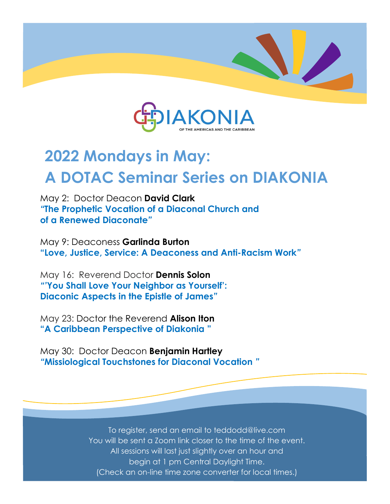



# **2022 Mondays in May: A DOTAC Seminar Series on DIAKONIA**

May 2: Doctor Deacon **David Clark**  *"***The Prophetic Vocation of a Diaconal Church and of a Renewed Diaconate***"*

May 9: Deaconess **Garlinda Burton "Love, Justice, Service: A Deaconess and Anti-Racism Work***"*

May 16: Reverend Doctor **Dennis Solon** *"'***You Shall Love Your Neighbor as Yourself': Diaconic Aspects in the Epistle of James***"*

May 23: Doctor the Reverend **Alison Iton "A Caribbean Perspective of Diakonia "**

May 30: Doctor Deacon **Benjamin Hartley**  *"***Missiological Touchstones for Diaconal Vocation** *"* 

> To register, send an email to teddodd@live.com You will be sent a Zoom link closer to the time of the event. All sessions will last just slightly over an hour and begin at 1 pm Central Daylight Time. (Check an on-line time zone converter for local times.)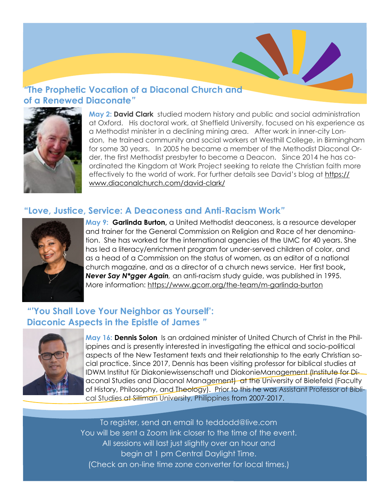# *"***The Prophetic Vocation of a Diaconal Church and of a Renewed Diaconate***"*



**May 2: David Clark** studied modern history and public and social administration at Oxford. His doctoral work, at Sheffield University, focused on his experience as a Methodist minister in a declining mining area. After work in inner-city London, he trained community and social workers at Westhill College, in Birmingham for some 30 years. In 2005 he became a member of the Methodist Diaconal Order, the first Methodist presbyter to become a Deacon. Since 2014 he has coordinated the Kingdom at Work Project seeking to relate the Christian faith more effectively to the world of work. For further details see David's blog at [https://](https://www.diaconalchurch.com/david-clark/) www.diaconalchurch.com/david-clark/

### **"Love, Justice, Service: A Deaconess and Anti-Racism Work***"*



**May 9: Garlinda Burton,** a United Methodist deaconess, is a resource developer and trainer for the General Commission on Religion and Race of her denomination. She has worked for the international agencies of the UMC for 40 years. She has led a literacy/enrichment program for under-served children of color, and as a head of a Commission on the status of women, as an editor of a national church magazine, and as a director of a church news service. Her first book**,**  *Never Say N\*gger Again,* an anti-racism study guide, was published in 1995. More information: https://www.gcorr.org/the-team/m-garlinda-burton

# *"'***You Shall Love Your Neighbor as Yourself': Diaconic Aspects in the Epistle of James** *"*



**May 16: Dennis Solon** Is an ordained minister of United Church of Christ in the Philippines and is presently interested in investigating the ethical and socio-political aspects of the New Testament texts and their relationship to the early Christian social practice. Since 2017, Dennis has been visiting professor for biblical studies at IDWM Institut für Diakoniewissenschaft und DiakonieManagement (Institute for Diaconal Studies and Diaconal Management) at the University of Bielefeld (Faculty of History, Philosophy, and Theology). Prior to this he was Assistant Professor of Biblical Studies at Silliman University, Philippines from 2007-2017.

To register, send an email to teddodd@live.com You will be sent a Zoom link closer to the time of the event. All sessions will last just slightly over an hour and begin at 1 pm Central Daylight Time. (Check an on-line time zone converter for local times.)